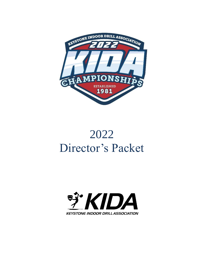

# 2022 Director's Packet

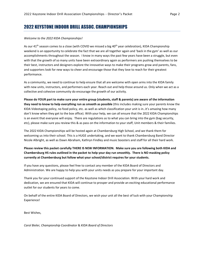## 2022 KEYSTONE INDOOR DRILL ASSOC. CHAMPIONSHIPS

#### *Welcome to the 2022 KIDA Championships!*

As our  $41<sup>th</sup>$  season comes to a close (with COVID we missed a big  $40<sup>th</sup>$  year celebration), KIDA Championship weekend is an opportunity to celebrate the fact that we are all together again and 'back in the gym' as well as our accomplishments throughout the season. I know in many ways the past few years have been a struggle, but even with that the growth of so many units have been extraordinary again as performers are pushing themselves to be their best, instructors and designers explore the innovative ways to make their programs grow and parents, fans, and supporters look for new ways to cheer and encourage those that they love to reach for their greatest performance.

As a community, we need to continue to help ensure that all are welcome with open arms into the KIDA family with new units, instructors, and performers each year. Reach out and help those around us. Only when we act as a collective and cohesive community do encourage the growth of our activity.

**Please do YOUR part to make sure your entire group (students, staff & parents) are aware of the information they need to know to help everything run as smooth as possible** (this includes making sure your parents know the KIDA Videotaping policy, no food policy, etc. as well as which classification your unit is in..it's amazing how many don't know when they get to the box office). With your help, we can all ensure that the 2022 KIDA Championships is an event that everyone will enjoy. There are regulations as to what you can bring into the gym (bag security, etc), please make sure you review this & as pass on the information to your staff, Unit members & their families.

The 2022 KIDA Championships will be hosted again at Chambersburg High School, and we thank them for welcoming us into their school. This is a HUGE undertaking, and we want to thank Chambersburg Band Director Nicole Albright, as well as Dawn Abraham, Kathryn Findley and music boosters and staff for all their hard work.

**Please review this packet carefully THERE IS NEW INFORMATION. Make sure you are following both KIDA and Chambersburg HS rules outlined in the packet to help your day run smoothly. There is NO masking policy currently at Chambersburg but follow what your school/district requires for your students.** 

If you have any questions, please feel free to contact any member of the KIDA Board of Directors and Administration. We are happy to help you with your units needs as you prepare for your important day.

Thank you for your continued support of the Keystone Indoor Drill Association. With your hard work and dedication, we are ensured that KIDA will continue to prosper and provide an exciting educational performance outlet for our students for years to come.

On behalf of the entire KIDA Board of Directors, we wish your unit all the best of luck with your Championship Experience!

Best Wishes,

*Carol Bieler, Championship Coordinator* & *KIDA Board of Directors*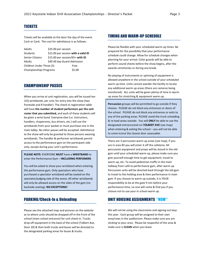## **TICKETS**

Tickets will be available at the door the day of the event. Cash or Card. The cost for admittance is as follows:

| Adults                   | \$25.00 per session                 |        |
|--------------------------|-------------------------------------|--------|
| Students                 | \$15.00 per session with a valid ID |        |
| <b>Senior Citizens</b>   | \$15.00 per session/65+ with ID     |        |
| <b>Adults</b>            | \$40 All day Guard Admission        |        |
| Children Under Three (3) |                                     | Free   |
| Championships Programs   |                                     | \$5.00 |

#### CHAMPIONSHIP PASSES

When you arrive at unit registration, you will be issued ten (10) wristbands, per unit, for entry into the show (two frontside and 8 handler). The check-in registration table will have **the number of student performers per the unit roster that you submitted,** and each of these students will be given a wrist band. Everyone else (i.e. instructors, handlers, chaperones, bus drivers, etc.) will use the wristbands from your packet or must purchase one in the main lobby. No other passes will be accepted. Admittance to the show will only be granted to those persons wearing wristbands. The handler & performer wristbands permit access to the performance gym on the participant side only, except during your unit's performance.

**PLEASE NOTE:** EVERYONE **MUST** have a **WRISTBAND** to enter the Performance Gym – **INCLUDING PERFOMERS**

You will be asked to show your wristband when entering the performance gym. Only spectators who have purchased a spectator wristband will be seated on the spectator/judging side of the arena. All other wristbands will only be allowed access on the sides of the gym (no backside seating). **NO EXCEPTIONS!**

#### PARKING/Check-In & Unloading

Please see the attached map and pictures on the website as to where units should be dropped off in the front of the school (main school entrance) for unit check-in. Trucks drop off equipment in the back of the school (Tolbert Ave, Door 20) & then both trucks and buses will be directed to the designated parking areas for buses & trucks.

#### TIMING AND WARM-UP SCHEDULE

Please be flexible with your scheduled warm-up times. Be prepared for the possibility that your performance schedule could change. Allow for schedule changes when planning for your arrival. Color guards will be able to perform sound checks before the show begins, after the awards ceremonies or during any break.

No playing of instruments or spinning of equipment is allowed anywhere in the school outside of your scheduled warm up time. Units cannot wander the facility to locate any additional warm up areas (there are cameras being monitored). ALL units will be given plenty of time in warm up areas for stretching & equipment warm up.

**Percussion** groups will be permitted to go outside if they choose. PLEASE do not block any entrances or doors of the school. PLEASE do not block any entrances or exits to any of the parking areas. PLEASE avoid the truck unloading & re-load areas outside. You will **ONLY** be able to use the designated entrance/exit on **TOLBERT AVE** (see map) when entering & exiting the school – you will not be able to come in/out the closest door assessable.

There are 3 percussion warm up areas (see map), if you are in area #3 you will enter it off the cafeteria. All percussion equipment and props will be stored in the old gym until your scheduled warm up, please make sure you give yourself enough time to get equipment, travel to warm up, etc. To avoid pedestrian traffic in the main hallway from café to performance gym, after warm up Percussion units will be directed back through the old gym to travel to the holding area & then performance in main gym. If you choose to warm up outside, it is YOUR responsibility to be at the gate 9 min before your performance time, no one will come & find you if you choose not to use your in school warm up.

#### UNIT HOUSING ASSIGNMENTS \*\*NEW\*\*

We will not be using the classrooms and signing out keys this year. Each group will be assigned to their own area/rows in the auditorium. Please make sure you are sticking to your area. Please be respectful of the area & make sure is **CLEAN** when you leave.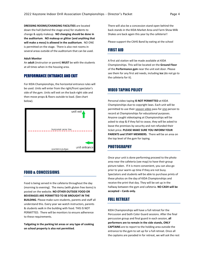**DRESSING ROOMS/CHANGING FACILITIES** are located down the hall (behind the stage area) for students to change & apply makeup. **NO changing should be done in the auditorium**. **NO makeup or glitter (and anything that will make a mess) is allowed in the auditorium**. NO ONE is permitted on the stage. There is also rest rooms in several areas outside of the auditorium that can be used.

#### **Adult Monitor**

An **adult** (instructor or parent) **MUST** be with the students at all times when in the housing area.

#### PERFORMANCE ENTRANCE AND EXIT

For KIDA Championships, the horizontal entrance rules will be used. Units will enter from the right/front spectator's side of the gym. Units will exit on the back-right side and then move props & floors outside to load. (See chart below).



## FOOD & CONCESSIONS.

Food is being served in the cafeteria throughout the day (morning to evening). The menu (with gluten free items) is posted on the website. **NO OTHER OUTSIDE FOOD OR BEVERAGES ARE PERMITTED TO BE BROUGHT IN THE BUILDING**. Please make sure students, parents and staff all understand this. Every year we watch instructors, parents & students walk in the building with food. THIS IS NOT PERMITTED. There will be monitors to ensure adherence to these requirements.

**Tailgating in the parking lot areas or any type of cooking on school property is also not permitted**.

There will also be a concession stand open behind the back stands in the KIDA Market Area and Farm Show Milk Shakes are back again this year by the cafeteria!!

Please support the CAHS Band by eating at the school

#### FIRST AID

A first aid station will be made available at KIDA Championships. This will be located on the **Ground Floor** of the **Performance gym** near the unit exit door. Please see them for any first aid needs, including **ice** (do not go to the cafeteria for it).

## VIDEO TAPING POLICY

Personal video taping **IS NOT PERMITTED** at KIDA Championships due to copyright laws. Each unit will be permitted to use their season video pass for one person to record at Championships for educational purposes. Anyone caught videotaping at Championships will be asked to stop & if they fail to cease, they will be asked to leave the premises by security and not refunded their ticket price. **PLEASE MAKE SURE YOU INFORM YOUR PARENTS and STAFF MEMBERS.** There will be an area on the top level of the gym for taping.

## PHOTOGRAPHY

Once your unit is done performing proceed to the photo area near the cafeteria (see map) to have their group picture taken. If it is more convenient, you can also go prior to your warm-up time if they are not busy. Spectators and students will be able to purchase prints of these photos on the day of KIDA Championships and receive the print that day. They will be set up in the hallway between the gym and cafeteria. **NO CASH will be accepted – Cards only.** 

#### FULL RETREAT

KIDA Championships will have a full retreat for the Percussion and both Color Guard sessions. After the final percussion group and final guard in each session, **all performers are to remain in the side stands, ONLY CAPTAINS** are to report to the holding area outside the entrance to the gym to set up for a full retreat. Once all the captains are paraded in for retreat, we will ask the rest